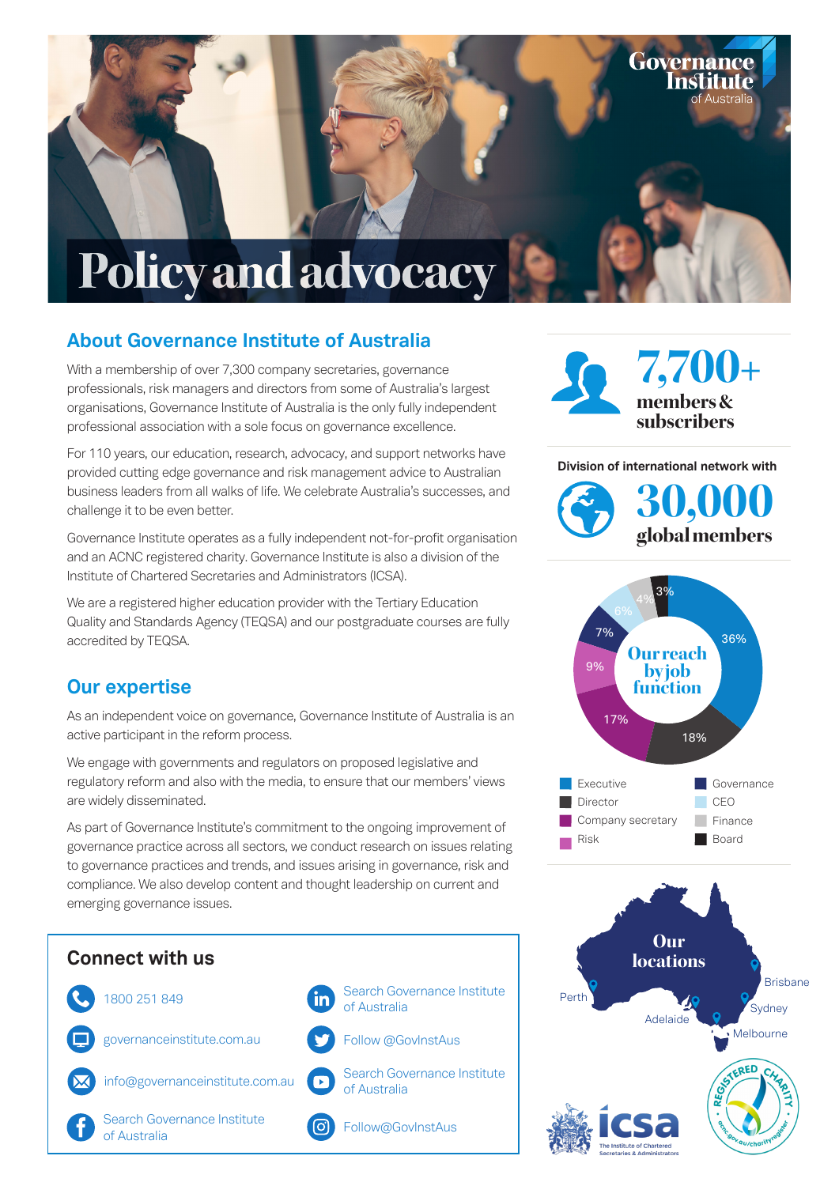

### **About Governance Institute of Australia**

With a membership of over 7,300 company secretaries, governance professionals, risk managers and directors from some of Australia's largest organisations, Governance Institute of Australia is the only fully independent professional association with a sole focus on governance excellence.

For 110 years, our education, research, advocacy, and support networks have provided cutting edge governance and risk management advice to Australian business leaders from all walks of life. We celebrate Australia's successes, and challenge it to be even better.

Governance Institute operates as a fully independent not-for-profit organisation and an ACNC registered charity. Governance Institute is also a division of the Institute of Chartered Secretaries and Administrators (ICSA).

We are a registered higher education provider with the Tertiary Education Quality and Standards Agency (TEQSA) and our postgraduate courses are fully accredited by TEQSA.

#### **Our expertise**

As an independent voice on governance, Governance Institute of Australia is an active participant in the reform process.

We engage with governments and regulators on proposed legislative and regulatory reform and also with the media, to ensure that our members' views are widely disseminated.

As part of Governance Institute's commitment to the ongoing improvement of governance practice across all sectors, we conduct research on issues relating to governance practices and trends, and issues arising in governance, risk and compliance. We also develop content and thought leadership on current and emerging governance issues.





Governance Institute

**Division of international network with**